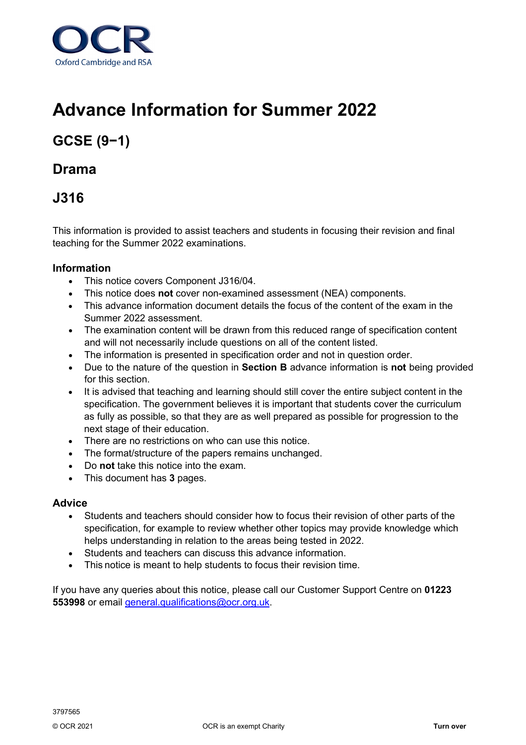

# **Advance Information for Summer 2022**

## **GCSE (9−1)**

### **Drama**

### **J316**

This information is provided to assist teachers and students in focusing their revision and final teaching for the Summer 2022 examinations.

### **Information**

- This notice covers Component J316/04.
- This notice does **not** cover non-examined assessment (NEA) components.
- This advance information document details the focus of the content of the exam in the Summer 2022 assessment.
- The examination content will be drawn from this reduced range of specification content and will not necessarily include questions on all of the content listed.
- The information is presented in specification order and not in question order.
- Due to the nature of the question in **Section B** advance information is **not** being provided for this section.
- It is advised that teaching and learning should still cover the entire subject content in the specification. The government believes it is important that students cover the curriculum as fully as possible, so that they are as well prepared as possible for progression to the next stage of their education.
- There are no restrictions on who can use this notice.
- The format/structure of the papers remains unchanged.
- Do **not** take this notice into the exam.
- This document has **3** pages.

#### **Advice**

- Students and teachers should consider how to focus their revision of other parts of the specification, for example to review whether other topics may provide knowledge which helps understanding in relation to the areas being tested in 2022.
- Students and teachers can discuss this advance information.
- This notice is meant to help students to focus their revision time.

If you have any queries about this notice, please call our Customer Support Centre on **01223 553998** or email [general.qualifications@ocr.org.uk.](mailto:general.qualifications@ocr.org.uk)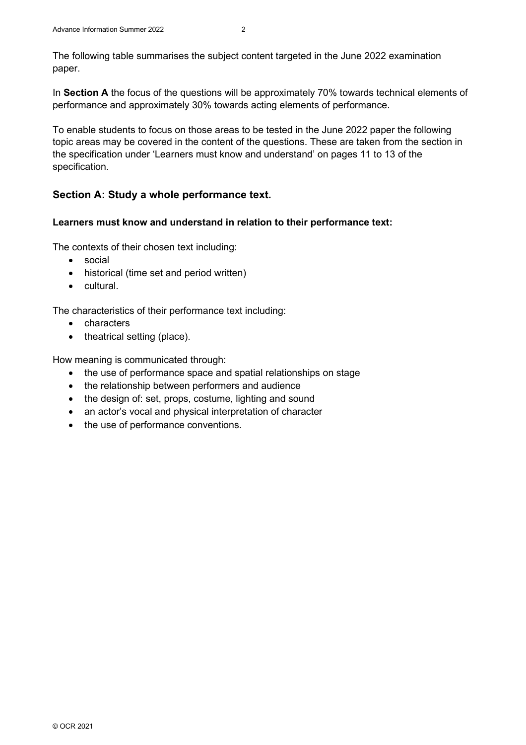The following table summarises the subject content targeted in the June 2022 examination paper.

In **Section A** the focus of the questions will be approximately 70% towards technical elements of performance and approximately 30% towards acting elements of performance.

To enable students to focus on those areas to be tested in the June 2022 paper the following topic areas may be covered in the content of the questions. These are taken from the section in the specification under 'Learners must know and understand' on pages 11 to 13 of the specification.

### **Section A: Study a whole performance text.**

#### **Learners must know and understand in relation to their performance text:**

The contexts of their chosen text including:

- social
- historical (time set and period written)
- cultural.

The characteristics of their performance text including:

- characters
- theatrical setting (place).

How meaning is communicated through:

- the use of performance space and spatial relationships on stage
- the relationship between performers and audience
- the design of: set, props, costume, lighting and sound
- an actor's vocal and physical interpretation of character
- the use of performance conventions.